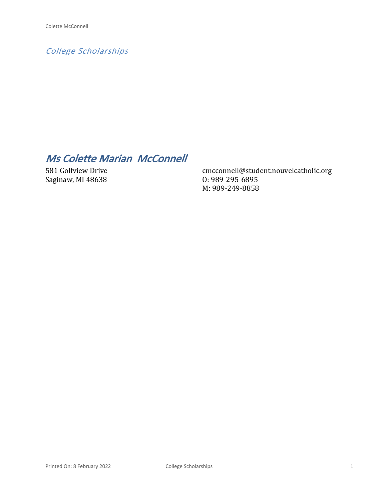*College Scholarships*

# *Ms Colette Marian McConnell*

581 Golfview Drive Saginaw, MI 48638

cmcconnell@student.nouvelcatholic.org O: 989-295-6895 M: 989-249-8858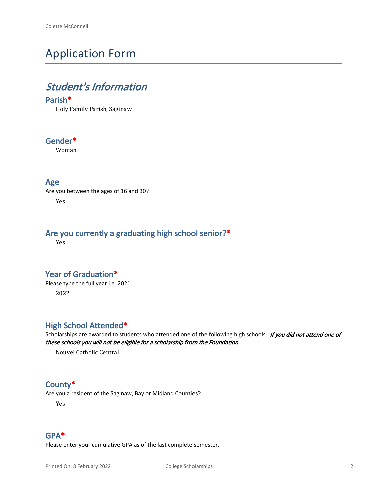# Application Form

# *Student's Information*

### **Parish\***

Holy Family Parish, Saginaw

## **Gender\***

Woman

### **Age**

Are you between the ages of 16 and 30? Yes

## **Are you currently a graduating high school senior?\***

Yes

## **Year of Graduation\***

Please type the full year i.e. 2021. 2022

## **High School Attended\***

Scholarships are awarded to students who attended one of the following high schools. *If you did not attend one of these schools you will not be eligible for a scholarship from the Foundation.*

Nouvel Catholic Central

## **County\***

Are you a resident of the Saginaw, Bay or Midland Counties?

Yes

## **GPA\***

Please enter your cumulative GPA as of the last complete semester.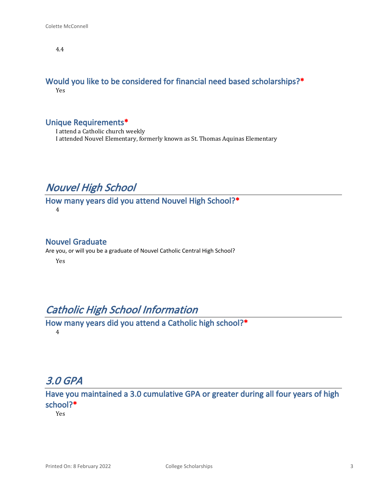4.4

#### **Would you like to be considered for financial need based scholarships?\*** Yes

## **Unique Requirements\***

I attend a Catholic church weekly I attended Nouvel Elementary, formerly known as St. Thomas Aquinas Elementary

## *Nouvel High School*

**How many years did you attend Nouvel High School?\*** 4

### **Nouvel Graduate**

Are you, or will you be a graduate of Nouvel Catholic Central High School?

Yes

## *Catholic High School Information*

**How many years did you attend a Catholic high school?\*** 4

# *3.0 GPA*

**Have you maintained a 3.0 cumulative GPA or greater during all four years of high school?\***

Yes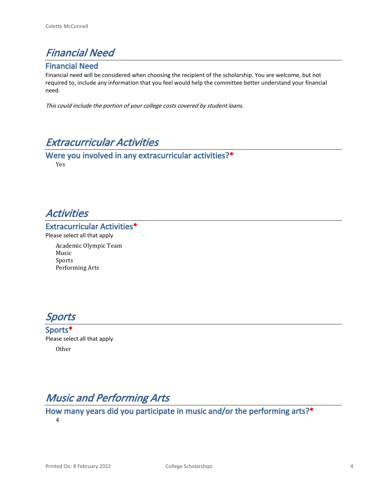

## **Financial Need**

Financial need will be considered when choosing the recipient of the scholarship. You are welcome, but not required to, include any information that you feel would help the committee better understand your financial need.

*This could include the portion of your college costs covered by student loans.* 

## *Extracurricular Activities*

**Were you involved in any extracurricular activities?\*** Yes

## *Activities*

#### **Extracurricular Activities\***

Please select all that apply

Academic Olympic Team Music Sports Performing Arts

*Sports*

**Sports\*** Please select all that apply Other

# *Music and Performing Arts*

# **How many years did you participate in music and/or the performing arts?\***

4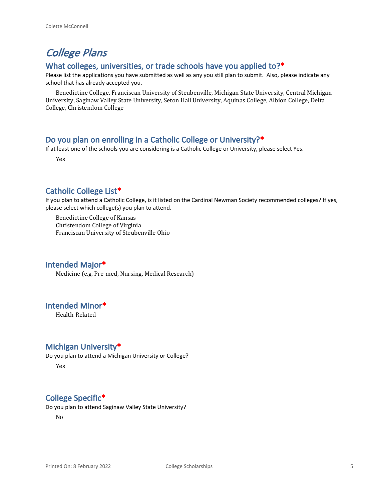# *College Plans*

#### **What colleges, universities, or trade schools have you applied to?\***

Please list the applications you have submitted as well as any you still plan to submit. Also, please indicate any school that has already accepted you.

Benedictine College, Franciscan University of Steubenville, Michigan State University, Central Michigan University, Saginaw Valley State University, Seton Hall University, Aquinas College, Albion College, Delta College, Christendom College

## **Do you plan on enrolling in a Catholic College or University?\***

If at least one of the schools you are considering is a Catholic College or University, please select Yes.

Yes

## **Catholic College List\***

If you plan to attend a Catholic College, is it listed on the Cardinal Newman Society recommended colleges? If yes, please select which college(s) you plan to attend.

Benedictine College of Kansas Christendom College of Virginia Franciscan University of Steubenville Ohio

#### **Intended Major\***

Medicine (e.g. Pre-med, Nursing, Medical Research)

#### **Intended Minor\***

Health-Related

#### **Michigan University\***

Do you plan to attend a Michigan University or College? Yes

## **College Specific\***

Do you plan to attend Saginaw Valley State University?

No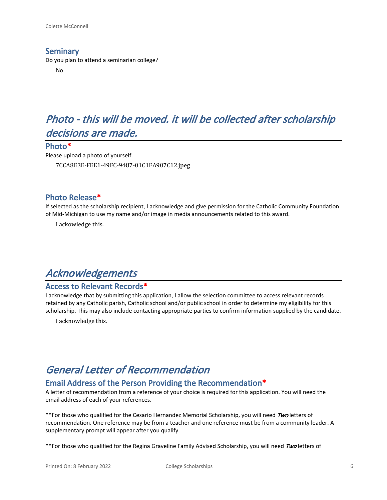#### **Seminary**

Do you plan to attend a seminarian college?

No

# *Photo - this will be moved. it will be collected after scholarship decisions are made.*

#### **Photo\***

Please upload a photo of yourself. 7CCA8E3E-FEE1-49FC-9487-01C1FA907C12.jpeg

#### **Photo Release\***

If selected as the scholarship recipient, I acknowledge and give permission for the Catholic Community Foundation of Mid-Michigan to use my name and/or image in media announcements related to this award.

I ackowledge this.

# *Acknowledgements*

#### **Access to Relevant Records\***

I acknowledge that by submitting this application, I allow the selection committee to access relevant records retained by any Catholic parish, Catholic school and/or public school in order to determine my eligibility for this scholarship. This may also include contacting appropriate parties to confirm information supplied by the candidate.

I acknowledge this.

# *General Letter of Recommendation*

## **Email Address of the Person Providing the Recommendation\***

A letter of recommendation from a reference of your choice is required for this application. You will need the email address of each of your references.

\*\*For those who qualified for the Cesario Hernandez Memorial Scholarship, you will need *Two* letters of recommendation. One reference may be from a teacher and one reference must be from a community leader. A supplementary prompt will appear after you qualify.

\*\*For those who qualified for the Regina Graveline Family Advised Scholarship, you will need *Two* letters of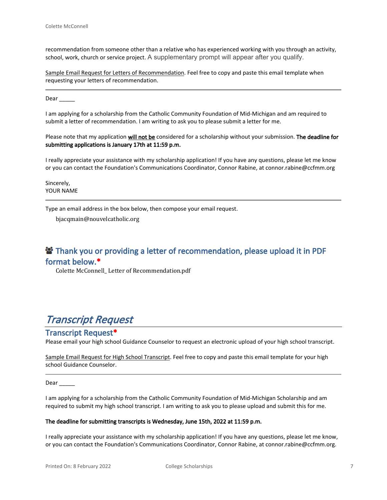recommendation from someone other than a relative who has experienced working with you through an activity, school, work, church or service project. A supplementary prompt will appear after you qualify.

Sample Email Request for Letters of Recommendation. Feel free to copy and paste this email template when requesting your letters of recommendation.

Dear  $\qquad$ 

I am applying for a scholarship from the Catholic Community Foundation of Mid-Michigan and am required to submit a letter of recommendation. I am writing to ask you to please submit a letter for me.

Please note that my application **will not be** considered for a scholarship without your submission. **The deadline for submitting applications is January 17th at 11:59 p.m.**

I really appreciate your assistance with my scholarship application! If you have any questions, please let me know or you can contact the Foundation's Communications Coordinator, Connor Rabine, at connor.rabine@ccfmm.org

Sincerely, YOUR NAME

Type an email address in the box below, then compose your email request.

bjacqmain@nouvelcatholic.org

## **<sup>2</sup> Thank you or providing a letter of recommendation, please upload it in PDF format below.\***

Colette McConnell\_ Letter of Recommendation.pdf

## *Transcript Request*

#### **Transcript Request\***

Please email your high school Guidance Counselor to request an electronic upload of your high school transcript.

Sample Email Request for High School Transcript. Feel free to copy and paste this email template for your high school Guidance Counselor.

Dear \_

I am applying for a scholarship from the Catholic Community Foundation of Mid-Michigan Scholarship and am required to submit my high school transcript. I am writing to ask you to please upload and submit this for me.

#### **The deadline for submitting transcripts is Wednesday, June 15th, 2022 at 11:59 p.m.**

I really appreciate your assistance with my scholarship application! If you have any questions, please let me know, or you can contact the Foundation's Communications Coordinator, Connor Rabine, at connor.rabine@ccfmm.org.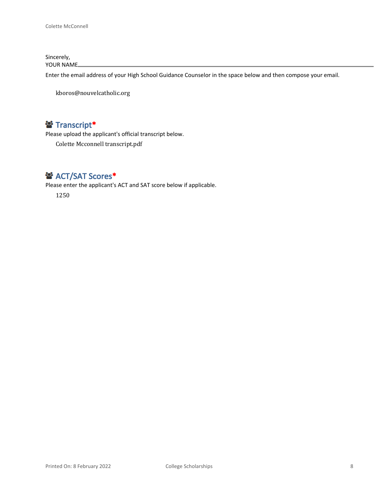Sincerely, YOUR NAME

Enter the email address of your High School Guidance Counselor in the space below and then compose your email.

kboros@nouvelcatholic.org

## **Transcript\***

Please upload the applicant's official transcript below.

Colette Mcconnell transcript.pdf

## **<sup>2</sup>** ACT/SAT Scores\*

Please enter the applicant's ACT and SAT score below if applicable.

1250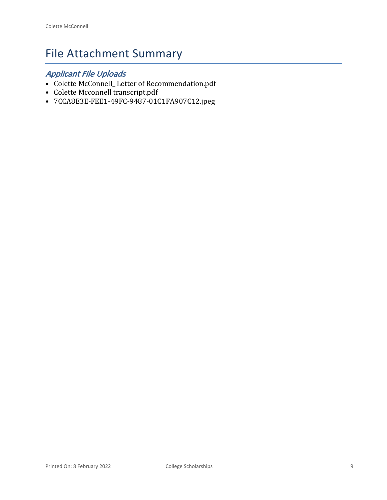# File Attachment Summary

## *Applicant File Uploads*

- Colette McConnell\_ Letter of Recommendation.pdf
- Colette Mcconnell transcript.pdf
- 7CCA8E3E-FEE1-49FC-9487-01C1FA907C12.jpeg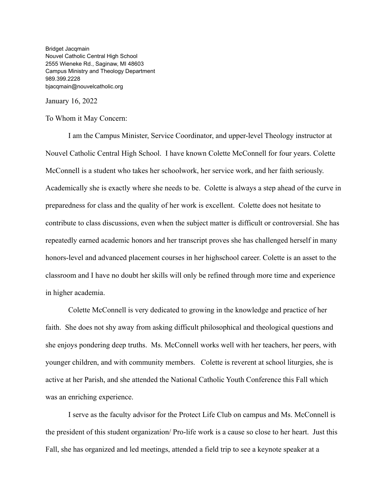Bridget Jacqmain Nouvel Catholic Central High School 2555 Wieneke Rd., Saginaw, MI 48603 Campus Ministry and Theology Department 989.399.2228 bjacqmain@nouvelcatholic.org

January 16, 2022

To Whom it May Concern:

I am the Campus Minister, Service Coordinator, and upper-level Theology instructor at Nouvel Catholic Central High School. I have known Colette McConnell for four years. Colette McConnell is a student who takes her schoolwork, her service work, and her faith seriously. Academically she is exactly where she needs to be. Colette is always a step ahead of the curve in preparedness for class and the quality of her work is excellent. Colette does not hesitate to contribute to class discussions, even when the subject matter is difficult or controversial. She has repeatedly earned academic honors and her transcript proves she has challenged herself in many honors-level and advanced placement courses in her highschool career. Colette is an asset to the classroom and I have no doubt her skills will only be refined through more time and experience in higher academia.

Colette McConnell is very dedicated to growing in the knowledge and practice of her faith. She does not shy away from asking difficult philosophical and theological questions and she enjoys pondering deep truths. Ms. McConnell works well with her teachers, her peers, with younger children, and with community members. Colette is reverent at school liturgies, she is active at her Parish, and she attended the National Catholic Youth Conference this Fall which was an enriching experience.

I serve as the faculty advisor for the Protect Life Club on campus and Ms. McConnell is the president of this student organization/ Pro-life work is a cause so close to her heart. Just this Fall, she has organized and led meetings, attended a field trip to see a keynote speaker at a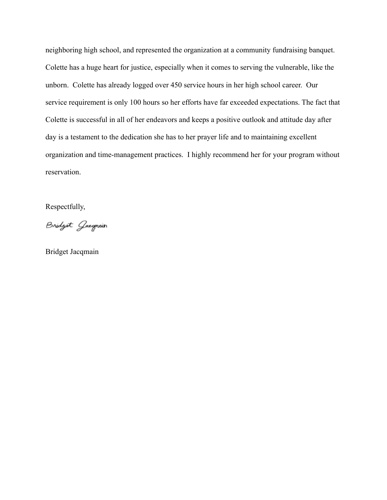neighboring high school, and represented the organization at a community fundraising banquet. Colette has a huge heart for justice, especially when it comes to serving the vulnerable, like the unborn. Colette has already logged over 450 service hours in her high school career. Our service requirement is only 100 hours so her efforts have far exceeded expectations. The fact that Colette is successful in all of her endeavors and keeps a positive outlook and attitude day after day is a testament to the dedication she has to her prayer life and to maintaining excellent organization and time-management practices. I highly recommend her for your program without reservation.

Respectfully,

Bridget Gaegmain

Bridget Jacqmain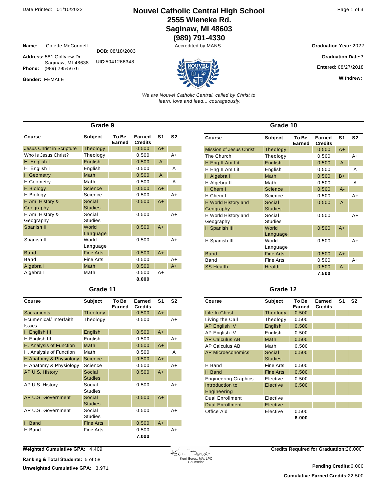## Date Printed: 01/10/2022 **Nouvel Catholic Central High School** Page 1 of 3 **2555 Wieneke Rd. Saginaw, MI 48603**

**(989) 791-4330**

**Name:** Colette McConnell **DOB:** 08/18/2003

**Address:** 581 Golfview Dr Saginaw, MI 48638 Phone: (989) 295-5676

**UIC:**5041266348

Gender: FEMALE



**Entered:** 08/27/2018

**Earned** 

**Withdrew:** 

**S1 S2**

*We are Nouvel Catholic Central, called by Christ to learn, love and lead... courageously.*

| Grade 9                          |                  |                 |                          |                |                |  |  |
|----------------------------------|------------------|-----------------|--------------------------|----------------|----------------|--|--|
| Course                           | <b>Subject</b>   | To Be<br>Earned | Earned<br><b>Credits</b> | S <sub>1</sub> | S <sub>2</sub> |  |  |
| <b>Jesus Christ in Scripture</b> | Theology         |                 | 0.500                    | $A+$           |                |  |  |
| Who Is Jesus Christ?             | Theology         |                 | 0.500                    |                | $A+$           |  |  |
| H English I                      | English          |                 | 0.500                    | $\overline{A}$ |                |  |  |
| H English I                      | English          |                 | 0.500                    |                | A              |  |  |
| <b>H</b> Geometry                | Math             |                 | 0.500                    | $\overline{A}$ |                |  |  |
| <b>H</b> Geometry                | Math             |                 | 0.500                    |                | A              |  |  |
| <b>H</b> Biology                 | Science          |                 | 0.500                    | $A+$           |                |  |  |
| H Biology                        | Science          |                 | 0.500                    |                | $A+$           |  |  |
| H Am. History &                  | Social           |                 | 0.500                    | $A+$           |                |  |  |
| Geography                        | <b>Studies</b>   |                 |                          |                |                |  |  |
| H Am. History &                  | Social           |                 | 0.500                    |                | $A+$           |  |  |
| Geography                        | <b>Studies</b>   |                 |                          |                |                |  |  |
| Spanish II                       | World            |                 | 0.500                    | $A+$           |                |  |  |
|                                  | Language         |                 |                          |                |                |  |  |
| Spanish II                       | World            |                 | 0.500                    |                | $A+$           |  |  |
|                                  | Language         |                 |                          |                |                |  |  |
| <b>Band</b>                      | <b>Fine Arts</b> |                 | 0.500                    | $A+$           |                |  |  |
| Band                             | <b>Fine Arts</b> |                 | 0.500                    |                | $A+$           |  |  |
| Algebra I                        | Math             |                 | 0.500                    |                | $A+$           |  |  |
| Algebra I                        | Math             |                 | 0.500                    | A+             |                |  |  |
|                                  |                  |                 | 8.000                    |                |                |  |  |

#### **Grade 11**

| Course                                  | Subject                  | To Be<br>Earned | Earned<br><b>Credits</b> | S <sub>1</sub> | S <sub>2</sub> |
|-----------------------------------------|--------------------------|-----------------|--------------------------|----------------|----------------|
| <b>Sacraments</b>                       | Theology                 |                 | 0.500                    | $A+$           |                |
| Ecumenical/ Interfaith<br><b>Issues</b> | Theology                 |                 | 0.500                    |                | $A+$           |
| H English III                           | English                  |                 | 0.500                    | $A+$           |                |
| H English III                           | English                  |                 | 0.500                    |                | A+             |
| H. Analysis of Function                 | Math                     |                 | 0.500                    | $A+$           |                |
| H. Analysis of Function                 | Math                     |                 | 0.500                    |                | Α              |
| H Anatomy & Physiology                  | <b>Science</b>           |                 | 0.500                    | $A+$           |                |
| H Anatomy & Physiology                  | Science                  |                 | 0.500                    |                | $A+$           |
| AP U.S. History                         | Social<br><b>Studies</b> |                 | 0.500                    | $A+$           |                |
| AP U.S. History                         | Social<br><b>Studies</b> |                 | 0.500                    |                | $A+$           |
| AP U.S. Government                      | Social<br><b>Studies</b> |                 | 0.500                    | $A+$           |                |
| AP U.S. Government                      | Social<br><b>Studies</b> |                 | 0.500                    |                | A+             |
| <b>H</b> Band                           | <b>Fine Arts</b>         |                 | 0.500                    | $A+$           |                |
| H Band                                  | <b>Fine Arts</b>         |                 | 0.500<br>7.000           |                | A+             |

|                                |                  | <b>Earned</b> | <b>Credits</b> |       |    |
|--------------------------------|------------------|---------------|----------------|-------|----|
| <b>Mission of Jesus Christ</b> | Theology         |               | 0.500          | $A+$  |    |
| The Church                     | Theology         |               | 0.500          |       | A+ |
| H Eng II Am Lit                | English          |               | 0.500          | A     |    |
| H Eng II Am Lit                | English          |               | 0.500          |       | A  |
| H Algebra II                   | Math             |               | 0.500          | $B+$  |    |
| H Algebra II                   | Math             |               | 0.500          |       | A  |
| H Chem I                       | <b>Science</b>   |               | 0.500          | $A -$ |    |
| H Chem I                       | Science          |               | 0.500          |       | A+ |
| H World History and            | Social           |               | 0.500          | A     |    |
| Geography                      | <b>Studies</b>   |               |                |       |    |
| H World History and            | Social           |               | 0.500          |       | A+ |
| Geography                      | <b>Studies</b>   |               |                |       |    |
| H Spanish III                  | World            |               | 0.500          | $A+$  |    |
|                                | Language         |               |                |       |    |
| H Spanish III                  | World            |               | 0.500          |       | A+ |
|                                | Language         |               |                |       |    |
| <b>Band</b>                    | <b>Fine Arts</b> |               | 0.500          | $A+$  |    |
| Band                           | <b>Fine Arts</b> |               | 0.500          |       | A+ |
| <b>SS Health</b>               | Health           |               | 0.500          | $A -$ |    |
|                                |                  |               | 7.500          |       |    |

**Grade 10**

**Course Subject To Be** 

#### **Grade 12**

| Course                         | Subject                  | To Be<br>Earned | Earned<br><b>Credits</b> | S <sub>1</sub> | S <sub>2</sub> |
|--------------------------------|--------------------------|-----------------|--------------------------|----------------|----------------|
| Life In Christ                 | Theology                 | 0.500           |                          |                |                |
| Living the Call                | Theology                 | 0.500           |                          |                |                |
| <b>AP English IV</b>           | English                  | 0.500           |                          |                |                |
| AP English IV                  | English                  | 0.500           |                          |                |                |
| <b>AP Calculus AB</b>          | Math                     | 0.500           |                          |                |                |
| AP Calculus AB                 | Math                     | 0.500           |                          |                |                |
| AP Microeconomics              | Social<br><b>Studies</b> | 0.500           |                          |                |                |
| H Band                         | Fine Arts                | 0.500           |                          |                |                |
| H Band                         | <b>Fine Arts</b>         | 0.500           |                          |                |                |
| <b>Engineering Graphics</b>    | Elective                 | 0.500           |                          |                |                |
| Introduction to<br>Engineering | Elective                 | 0.500           |                          |                |                |
| <b>Dual Enrollment</b>         | Elective                 |                 |                          |                |                |
| <b>Dual Enrollment</b>         | Elective                 |                 |                          |                |                |
| Office Aid                     | Elective                 | 0.500           |                          |                |                |
|                                |                          | 6.000           |                          |                |                |

**Weighted Cumulative GPA:** 4.409

**Ranking & Total Students: 5 of 58 Unweighted Cumulative GPA: 3.971** 



**Credits Required for Graduation:**26.000

**Cumulative Earned Credits:**22.500 **Pending Credits:**6.000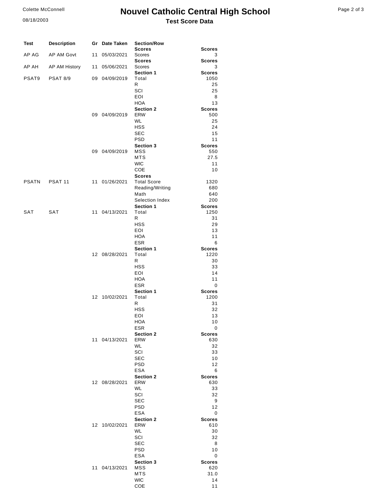#### Colette McConnell

08/18/2003

## Page 2 of 3 **Nouvel Catholic Central High School Test Score Data**

| Page 2 of 3 |  |  |  |
|-------------|--|--|--|
|-------------|--|--|--|

| <b>Test</b>  | <b>Description</b> |    | Gr Date Taken | <b>Section/Row</b>                  |                       |
|--------------|--------------------|----|---------------|-------------------------------------|-----------------------|
| AP AG        | <b>AP AM Govt</b>  | 11 | 05/03/2021    | <b>Scores</b><br>Scores             | <b>Scores</b><br>3    |
|              |                    |    |               | <b>Scores</b>                       | <b>Scores</b>         |
| AP AH        | AP AM History      | 11 | 05/06/2021    | Scores<br><b>Section 1</b>          | 3<br><b>Scores</b>    |
| PSAT9        | <b>PSAT 8/9</b>    |    | 09 04/09/2019 | Total                               | 1050                  |
|              |                    |    |               | R                                   | 25                    |
|              |                    |    |               | SCI<br>EOI                          | 25                    |
|              |                    |    |               | <b>HOA</b>                          | 8<br>13               |
|              |                    |    |               | Section 2                           | <b>Scores</b>         |
|              |                    | 09 | 04/09/2019    | <b>ERW</b>                          | 500                   |
|              |                    |    |               | <b>WL</b><br><b>HSS</b>             | 25<br>24              |
|              |                    |    |               | <b>SEC</b>                          | 15                    |
|              |                    |    |               | <b>PSD</b>                          | 11                    |
|              |                    |    |               | <b>Section 3</b>                    | <b>Scores</b>         |
|              |                    |    | 09 04/09/2019 | MSS<br><b>MTS</b>                   | 550<br>27.5           |
|              |                    |    |               | <b>WIC</b>                          | 11                    |
|              |                    |    |               | COE                                 | 10                    |
| <b>PSATN</b> | PSAT <sub>11</sub> |    | 11 01/26/2021 | <b>Scores</b><br><b>Total Score</b> | 1320                  |
|              |                    |    |               | Reading/Writing                     | 680                   |
|              |                    |    |               | Math                                | 640                   |
|              |                    |    |               | Selection Index                     | 200                   |
| SAT          | SAT                |    | 11 04/13/2021 | Section 1<br>Total                  | <b>Scores</b><br>1250 |
|              |                    |    |               | R                                   | 31                    |
|              |                    |    |               | <b>HSS</b>                          | 29                    |
|              |                    |    |               | EOI                                 | 13                    |
|              |                    |    |               | HOA<br><b>ESR</b>                   | 11<br>6               |
|              |                    |    |               | <b>Section 1</b>                    | <b>Scores</b>         |
|              |                    |    | 12 08/28/2021 | Total                               | 1220                  |
|              |                    |    |               | R<br><b>HSS</b>                     | 30<br>33              |
|              |                    |    |               | EOI                                 | 14                    |
|              |                    |    |               | <b>HOA</b>                          | 11                    |
|              |                    |    |               | <b>ESR</b>                          | 0                     |
|              |                    | 12 | 10/02/2021    | <b>Section 1</b><br>Total           | <b>Scores</b><br>1200 |
|              |                    |    |               | R                                   | 31                    |
|              |                    |    |               | <b>HSS</b>                          | 32                    |
|              |                    |    |               | EOI                                 | 13                    |
|              |                    |    |               | HOA<br><b>ESR</b>                   | 10<br>0               |
|              |                    |    |               | Section 2                           | <b>Scores</b>         |
|              |                    |    | 11 04/13/2021 | ERW                                 | 630                   |
|              |                    |    |               | WL<br>SCI                           | 32<br>33              |
|              |                    |    |               | <b>SEC</b>                          | 10                    |
|              |                    |    |               | <b>PSD</b>                          | 12                    |
|              |                    |    |               | ESA                                 | 6                     |
|              |                    |    | 12 08/28/2021 | Section 2<br>ERW                    | <b>Scores</b><br>630  |
|              |                    |    |               | WL                                  | 33                    |
|              |                    |    |               | SCI                                 | 32                    |
|              |                    |    |               | <b>SEC</b><br><b>PSD</b>            | 9<br>12               |
|              |                    |    |               | <b>ESA</b>                          | 0                     |
|              |                    |    |               | <b>Section 2</b>                    | <b>Scores</b>         |
|              |                    |    | 12 10/02/2021 | <b>ERW</b>                          | 610                   |
|              |                    |    |               | WL<br>SCI                           | 30<br>32              |
|              |                    |    |               | <b>SEC</b>                          | 8                     |
|              |                    |    |               | <b>PSD</b>                          | 10                    |
|              |                    |    |               | ESA                                 | 0                     |
|              |                    |    | 11 04/13/2021 | Section 3<br>MSS                    | <b>Scores</b><br>620  |
|              |                    |    |               | <b>MTS</b>                          | 31.0                  |
|              |                    |    |               | <b>WIC</b>                          | 14                    |
|              |                    |    |               | COE                                 | 11                    |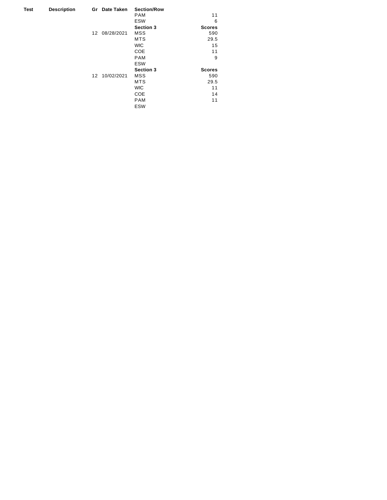| Test | <b>Description</b> | Gr | Date Taken    | <b>Section/Row</b> |               |
|------|--------------------|----|---------------|--------------------|---------------|
|      |                    |    |               | <b>PAM</b>         | 11            |
|      |                    |    |               | <b>ESW</b>         | 6             |
|      |                    |    |               | <b>Section 3</b>   | <b>Scores</b> |
|      |                    | 12 | 08/28/2021    | MSS                | 590           |
|      |                    |    |               | <b>MTS</b>         | 29.5          |
|      |                    |    |               | <b>WIC</b>         | 15            |
|      |                    |    |               | COE                | 11            |
|      |                    |    |               | <b>PAM</b>         | 9             |
|      |                    |    |               | <b>ESW</b>         |               |
|      |                    |    |               | <b>Section 3</b>   | <b>Scores</b> |
|      |                    |    | 12 10/02/2021 | <b>MSS</b>         | 590           |
|      |                    |    |               | <b>MTS</b>         | 29.5          |
|      |                    |    |               | <b>WIC</b>         | 11            |
|      |                    |    |               | COE                | 14            |
|      |                    |    |               | <b>PAM</b>         | 11            |
|      |                    |    |               | <b>ESW</b>         |               |